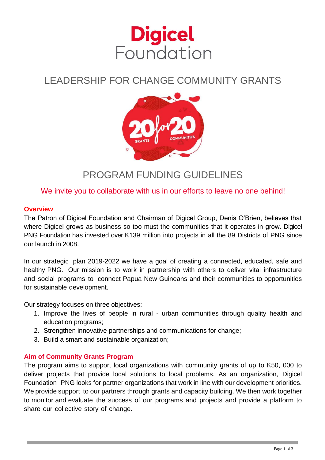

# LEADERSHIP FOR CHANGE COMMUNITY GRANTS



## PROGRAM FUNDING GUIDELINES

### We invite you to collaborate with us in our efforts to leave no one behind!

#### **Overview**

The Patron of Digicel Foundation and Chairman of Digicel Group, Denis O'Brien, believes that where Digicel grows as business so too must the communities that it operates in grow. Digicel PNG Foundation has invested over K139 million into projects in all the 89 Districts of PNG since our launch in 2008.

In our strategic plan 2019-2022 we have a goal of creating a connected, educated, safe and healthy PNG. Our mission is to work in partnership with others to deliver vital infrastructure and social programs to connect Papua New Guineans and their communities to opportunities for sustainable development.

Our strategy focuses on three objectives:

- 1. Improve the lives of people in rural urban communities through quality health and education programs;
- 2. Strengthen innovative partnerships and communications for change;
- 3. Build a smart and sustainable organization;

#### **Aim of Community Grants Program**

The program aims to support local organizations with community grants of up to K50, 000 to deliver projects that provide local solutions to local problems. As an organization, Digicel Foundation PNG looks for partner organizations that work in line with our development priorities. We provide support to our partners through grants and capacity building. We then work together to monitor and evaluate the success of our programs and projects and provide a platform to share our collective story of change.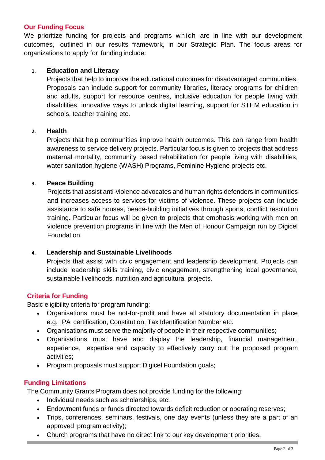#### **Our Funding Focus**

We prioritize funding for projects and programs which are in line with our development outcomes, outlined in our results framework, in our Strategic Plan. The focus areas for organizations to apply for funding include:

#### **1. Education and Literacy**

Projects that help to improve the educational outcomes for disadvantaged communities. Proposals can include support for community libraries, literacy programs for children and adults, support for resource centres, inclusive education for people living with disabilities, innovative ways to unlock digital learning, support for STEM education in schools, teacher training etc.

#### **2. Health**

Projects that help communities improve health outcomes. This can range from health awareness to service delivery projects. Particular focus is given to projects that address maternal mortality, community based rehabilitation for people living with disabilities, water sanitation hygiene (WASH) Programs, Feminine Hygiene projects etc.

#### **3. Peace Building**

Projects that assist anti-violence advocates and human rights defenders in communities and increases access to services for victims of violence. These projects can include assistance to safe houses, peace-building initiatives through sports, conflict resolution training. Particular focus will be given to projects that emphasis working with men on violence prevention programs in line with the Men of Honour Campaign run by Digicel Foundation.

#### **4. Leadership and Sustainable Livelihoods**

Projects that assist with civic engagement and leadership development. Projects can include leadership skills training, civic engagement, strengthening local governance, sustainable livelihoods, nutrition and agricultural projects.

#### **Criteria for Funding**

Basic eligibility criteria for program funding:

- Organisations must be not-for-profit and have all statutory documentation in place e.g. IPA certification, Constitution, Tax Identification Number etc.
- Organisations must serve the majority of people in their respective communities;
- Organisations must have and display the leadership, financial management, experience, expertise and capacity to effectively carry out the proposed program activities;
- Program proposals must support Digicel Foundation goals;

#### **Funding Limitations**

The Community Grants Program does not provide funding for the following:

- Individual needs such as scholarships, etc.
- Endowment funds or funds directed towards deficit reduction or operating reserves;
- Trips, conferences, seminars, festivals, one day events (unless they are a part of an approved program activity);
- Church programs that have no direct link to our key development priorities.